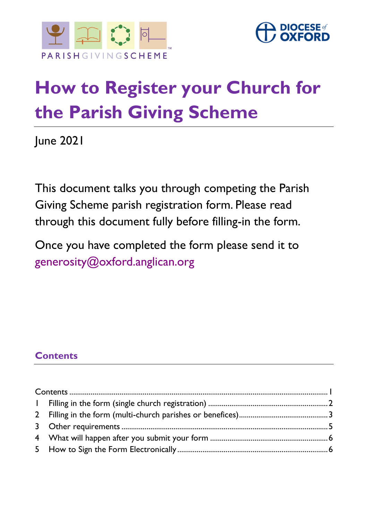



# **How to Register your Church for the Parish Giving Scheme**

June 2021

This document talks you through competing the Parish Giving Scheme parish registration form. Please read through this document fully before filling-in the form.

Once you have completed the form please send it to [generosity@oxford.anglican.org](mailto:generosity@oxford.anglican.org)

# <span id="page-0-0"></span>**Contents**

| $\mathbf{L}$ |  |
|--------------|--|
|              |  |
|              |  |
|              |  |
|              |  |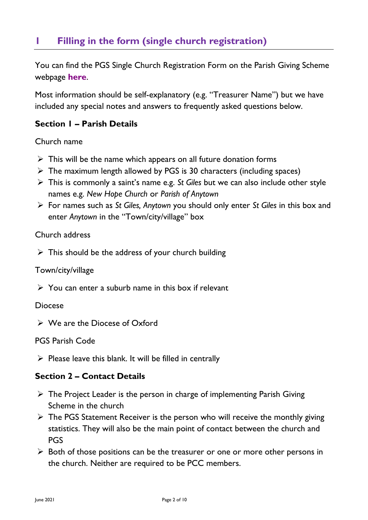# <span id="page-1-0"></span>**1 Filling in the form (single church registration)**

You can find the PGS Single Church Registration Form on the Parish Giving Scheme webpage **[here](https://www.oxford.anglican.org/support-services/parish-support/generous-giving/parish-giving-scheme/#PGS_further_info)**.

Most information should be self-explanatory (e.g. "Treasurer Name") but we have included any special notes and answers to frequently asked questions below.

### **Section 1 – Parish Details**

Church name

- $\triangleright$  This will be the name which appears on all future donation forms
- $\triangleright$  The maximum length allowed by PGS is 30 characters (including spaces)
- ➢ This is commonly a saint's name e.g. *St Giles* but we can also include other style names e.g. *New Hope Church* or *Parish of Anytown*
- ➢ For names such as *St Giles, Anytown* you should only enter *St Giles* in this box and enter *Anytown* in the "Town/city/village" box

#### Church address

 $\triangleright$  This should be the address of your church building

#### Town/city/village

 $\triangleright$  You can enter a suburb name in this box if relevant

#### Diocese

➢ We are the Diocese of Oxford

PGS Parish Code

 $\triangleright$  Please leave this blank. It will be filled in centrally

#### **Section 2 – Contact Details**

- $\triangleright$  The Project Leader is the person in charge of implementing Parish Giving Scheme in the church
- ➢ The PGS Statement Receiver is the person who will receive the monthly giving statistics. They will also be the main point of contact between the church and PGS
- $\triangleright$  Both of those positions can be the treasurer or one or more other persons in the church. Neither are required to be PCC members.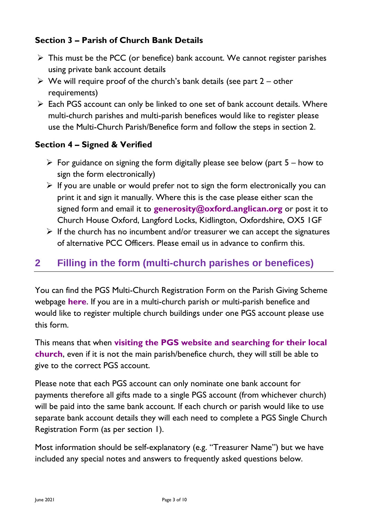## **Section 3 – Parish of Church Bank Details**

- ➢ This must be the PCC (or benefice) bank account. We cannot register parishes using private bank account details
- $\triangleright$  We will require proof of the church's bank details (see part 2 other requirements)
- ➢ Each PGS account can only be linked to one set of bank account details. Where multi-church parishes and multi-parish benefices would like to register please use the Multi-Church Parish/Benefice form and follow the steps in section 2.

## **Section 4 – Signed & Verified**

- $\triangleright$  For guidance on signing the form digitally please see below (part 5 how to sign the form electronically)
- $\triangleright$  If you are unable or would prefer not to sign the form electronically you can print it and sign it manually. Where this is the case please either scan the signed form and email it to **[generosity@oxford.anglican.org](mailto:generosity@oxford.anglican.org)** or post it to Church House Oxford, Langford Locks, Kidlington, Oxfordshire, OX5 1GF
- $\triangleright$  If the church has no incumbent and/or treasurer we can accept the signatures of alternative PCC Officers. Please email us in advance to confirm this.

# <span id="page-2-0"></span>**2 Filling in the form (multi-church parishes or benefices)**

You can find the PGS Multi-Church Registration Form on the Parish Giving Scheme webpage **[here](https://www.oxford.anglican.org/support-services/parish-support/generous-giving/parish-giving-scheme/#PGS_further_info)**. If you are in a multi-church parish or multi-parish benefice and would like to register multiple church buildings under one PGS account please use this form.

This means that when **[visiting the PGS website and searching for their local](https://www.parishgiving.org.uk/donors/find-your-parish/)  [church](https://www.parishgiving.org.uk/donors/find-your-parish/)**, even if it is not the main parish/benefice church, they will still be able to give to the correct PGS account.

Please note that each PGS account can only nominate one bank account for payments therefore all gifts made to a single PGS account (from whichever church) will be paid into the same bank account. If each church or parish would like to use separate bank account details they will each need to complete a PGS Single Church Registration Form (as per section 1).

Most information should be self-explanatory (e.g. "Treasurer Name") but we have included any special notes and answers to frequently asked questions below.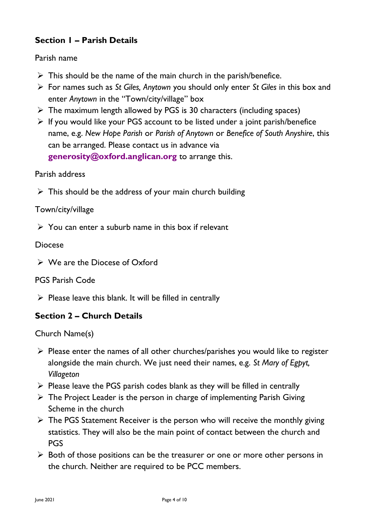## **Section 1 – Parish Details**

Parish name

- $\triangleright$  This should be the name of the main church in the parish/benefice.
- ➢ For names such as *St Giles, Anytown* you should only enter *St Giles* in this box and enter *Anytown* in the "Town/city/village" box
- $\triangleright$  The maximum length allowed by PGS is 30 characters (including spaces)
- ➢ If you would like your PGS account to be listed under a joint parish/benefice name, e.g. *New Hope Parish* or *Parish of Anytown* or *Benefice of South Anyshire*, this can be arranged. Please contact us in advance via **[generosity@oxford.anglican.org](mailto:generosity@oxford.anglican.org)** to arrange this.

#### Parish address

 $\triangleright$  This should be the address of your main church building

#### Town/city/village

 $\triangleright$  You can enter a suburb name in this box if relevant

#### Diocese

➢ We are the Diocese of Oxford

#### PGS Parish Code

 $\triangleright$  Please leave this blank. It will be filled in centrally

## **Section 2 – Church Details**

Church Name(s)

- $\triangleright$  Please enter the names of all other churches/parishes you would like to register alongside the main church. We just need their names, e.g. *St Mary of Egpyt, Villageton*
- $\triangleright$  Please leave the PGS parish codes blank as they will be filled in centrally
- $\triangleright$  The Project Leader is the person in charge of implementing Parish Giving Scheme in the church
- ➢ The PGS Statement Receiver is the person who will receive the monthly giving statistics. They will also be the main point of contact between the church and PGS
- $\triangleright$  Both of those positions can be the treasurer or one or more other persons in the church. Neither are required to be PCC members.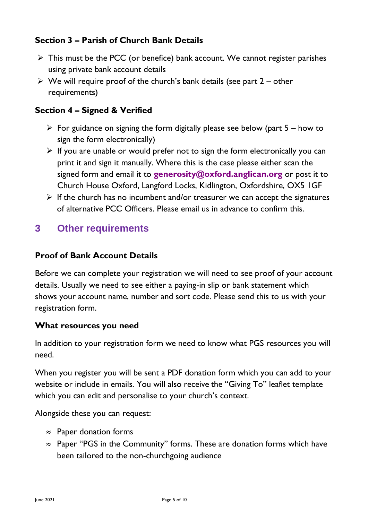## **Section 3 – Parish of Church Bank Details**

- $\triangleright$  This must be the PCC (or benefice) bank account. We cannot register parishes using private bank account details
- $\triangleright$  We will require proof of the church's bank details (see part 2 other requirements)

## **Section 4 – Signed & Verified**

- $\triangleright$  For guidance on signing the form digitally please see below (part 5 how to sign the form electronically)
- $\triangleright$  If you are unable or would prefer not to sign the form electronically you can print it and sign it manually. Where this is the case please either scan the signed form and email it to **[generosity@oxford.anglican.org](mailto:generosity@oxford.anglican.org)** or post it to Church House Oxford, Langford Locks, Kidlington, Oxfordshire, OX5 1GF
- $\triangleright$  If the church has no incumbent and/or treasurer we can accept the signatures of alternative PCC Officers. Please email us in advance to confirm this.

# <span id="page-4-0"></span>**3 Other requirements**

#### **Proof of Bank Account Details**

Before we can complete your registration we will need to see proof of your account details. Usually we need to see either a paying-in slip or bank statement which shows your account name, number and sort code. Please send this to us with your registration form.

#### **What resources you need**

In addition to your registration form we need to know what PGS resources you will need.

When you register you will be sent a PDF donation form which you can add to your website or include in emails. You will also receive the "Giving To" leaflet template which you can edit and personalise to your church's context.

Alongside these you can request:

- $\approx$  Paper donation forms
- $\approx$  Paper "PGS in the Community" forms. These are donation forms which have been tailored to the non-churchgoing audience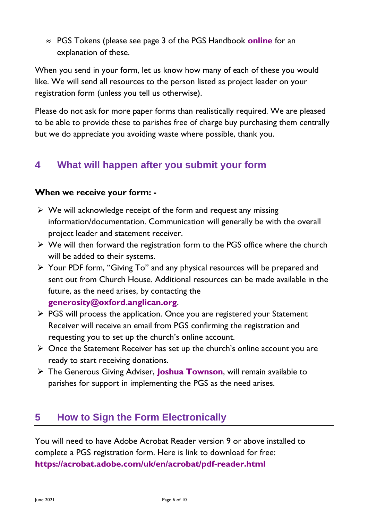PGS Tokens (please see page 3 of the PGS Handbook **[online](https://www.oxford.anglican.org/support-services/parish-support/generous-giving/parish-giving-scheme/#PGS_further_info)** for an explanation of these.

When you send in your form, let us know how many of each of these you would like. We will send all resources to the person listed as project leader on your registration form (unless you tell us otherwise).

Please do not ask for more paper forms than realistically required. We are pleased to be able to provide these to parishes free of charge buy purchasing them centrally but we do appreciate you avoiding waste where possible, thank you.

# <span id="page-5-0"></span>**4 What will happen after you submit your form**

#### **When we receive your form: -**

- $\triangleright$  We will acknowledge receipt of the form and request any missing information/documentation. Communication will generally be with the overall project leader and statement receiver.
- $\triangleright$  We will then forward the registration form to the PGS office where the church will be added to their systems.
- ➢ Your PDF form, "Giving To" and any physical resources will be prepared and sent out from Church House. Additional resources can be made available in the future, as the need arises, by contacting the **[generosity@oxford.anglican.org](mailto:generosity@oxford.anglican.org)**.
- ➢ PGS will process the application. Once you are registered your Statement Receiver will receive an email from PGS confirming the registration and requesting you to set up the church's online account.
- ➢ Once the Statement Receiver has set up the church's online account you are ready to start receiving donations.
- ➢ The Generous Giving Adviser, **[Joshua Townson](mailto:joshua.townson@oxford.anglican.org)**, will remain available to parishes for support in implementing the PGS as the need arises.

# <span id="page-5-1"></span>**5 How to Sign the Form Electronically**

You will need to have Adobe Acrobat Reader version 9 or above installed to complete a PGS registration form. Here is link to download for free: **<https://acrobat.adobe.com/uk/en/acrobat/pdf-reader.html>**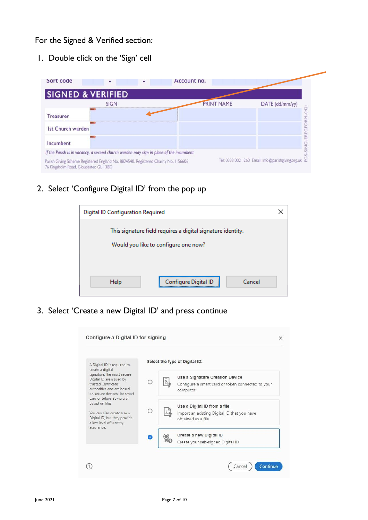#### For the Signed & Verified section:

1. Double click on the 'Sign' cell

| <b>SIGNED &amp; VERIFIED</b>                                                                                                  |             |  |                   |                                                      |
|-------------------------------------------------------------------------------------------------------------------------------|-------------|--|-------------------|------------------------------------------------------|
|                                                                                                                               | <b>SIGN</b> |  | <b>PRINT NAME</b> | DATE (dd/mm/yy)                                      |
| <b>Treasurer</b>                                                                                                              |             |  |                   |                                                      |
| <b>Ist Church warden</b>                                                                                                      |             |  |                   |                                                      |
| Incumbent                                                                                                                     |             |  |                   |                                                      |
| If the Parish is in vacancy, a second church warden may sign in place of the incumbent                                        |             |  |                   |                                                      |
| Parish Giving Scheme Registered England No. 8824540. Registered Charity No. 1156606<br>76 Kingsholm Road, Gloucester, GLI 3BD |             |  |                   | Tel: 0333 002 1260 Email: info@parishgiving.org.uk & |

2. Select 'Configure Digital ID' from the pop up



3. Select 'Create a new Digital ID' and press continue

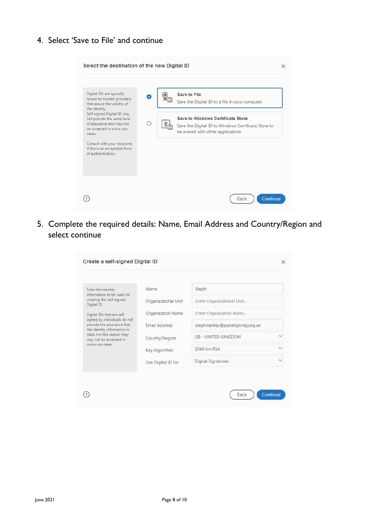4. Select 'Save to File' and continue

| Select the destination of the new Digital ID                                                                              | $\times$                                                                                                                      |
|---------------------------------------------------------------------------------------------------------------------------|-------------------------------------------------------------------------------------------------------------------------------|
| Digital IDs are typically<br>issued by trusted providers<br>that assure the validity of<br>the identity.                  | Save to File<br>Save the Digital ID to a file in your computer                                                                |
| Self-signed Digital ID may<br>not provide the same level<br>of assurance and may not<br>be accepted in some use<br>cases. | Save to Windows Certificate Store<br>Save the Digital ID to Windows Certificate Store to<br>be shared with other applications |
| Consult with your recipients<br>if this is an acceptable form<br>of authentication.                                       |                                                                                                                               |
|                                                                                                                           |                                                                                                                               |
|                                                                                                                           | Back<br>Continue                                                                                                              |

5. Complete the required details: Name, Email Address and Country/Region and select continue

| Name                 | Steph                      |                                   |
|----------------------|----------------------------|-----------------------------------|
| Organizational Unit  | Enter Organizational Unit  |                                   |
| Organization Name    | Enter Organization Name    |                                   |
| <b>Email Address</b> |                            |                                   |
| Country/Region       | <b>GB - UNITED KINGDOM</b> |                                   |
| Key Algorithm        | 2048-bit RSA               |                                   |
| Use Digital ID for   | Digital Signatures         |                                   |
|                      |                            | steph.hartley@parishgiving.org.uk |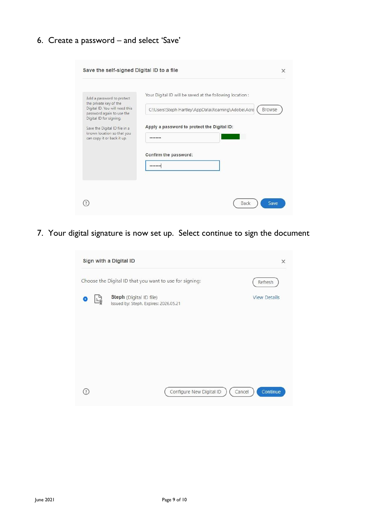6. Create a password – and select 'Save'

| Save the self-signed Digital ID to a file                                                                        | $\times$                                                    |
|------------------------------------------------------------------------------------------------------------------|-------------------------------------------------------------|
| Add a password to protect                                                                                        | Your Digital ID will be saved at the following location :   |
| the private key of the<br>Digital ID. You will need this<br>password again to use the<br>Digital ID for signing. | C:\Users\Steph Hartley\AppData\Roaming\Adobe\Acro<br>Browse |
| Save the Digital ID file in a                                                                                    | Apply a password to protect the Digital ID:                 |
| known location so that you<br>can copy it or back it up.                                                         |                                                             |
|                                                                                                                  | Confirm the password:                                       |
|                                                                                                                  | ********                                                    |
|                                                                                                                  |                                                             |
|                                                                                                                  |                                                             |
|                                                                                                                  | Back<br>Save                                                |

7. Your digital signature is now set up. Select continue to sign the document

|                                                         | Sign with a Digital ID                                           |                          | $\times$            |
|---------------------------------------------------------|------------------------------------------------------------------|--------------------------|---------------------|
| Choose the Digital ID that you want to use for signing: |                                                                  |                          | Refresh             |
|                                                         | Steph (Digital ID file)<br>Issued by: Steph, Expires: 2026.05.21 |                          | <b>View Details</b> |
|                                                         |                                                                  | Configure New Digital ID | Continue<br>Cancel  |